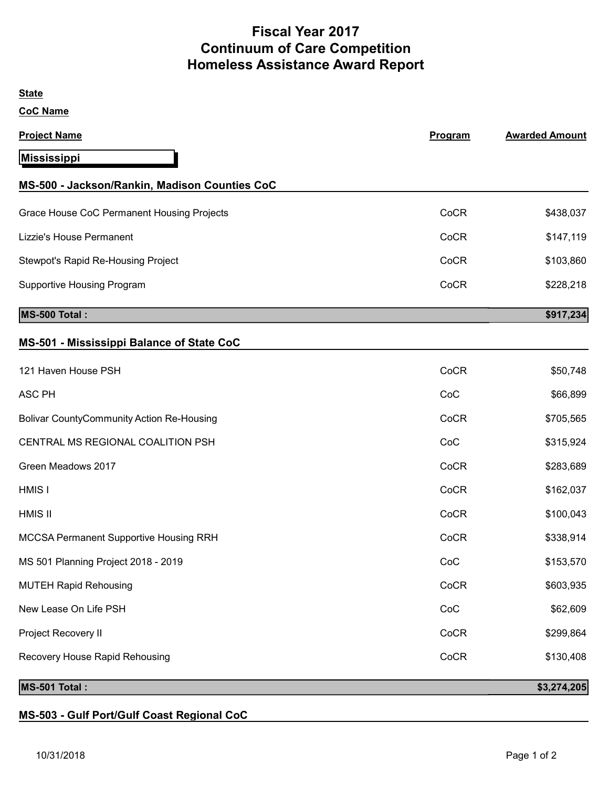## Fiscal Year 2017 Continuum of Care Competition Homeless Assistance Award Report

| Program | <b>Awarded Amount</b> |
|---------|-----------------------|
|         |                       |
|         |                       |
| CoCR    | \$438,037             |
| CoCR    | \$147,119             |
| CoCR    | \$103,860             |
| CoCR    | \$228,218             |
|         | \$917,234             |
|         |                       |
| CoCR    | \$50,748              |
| CoC     | \$66,899              |
| CoCR    | \$705,565             |
| CoC     | \$315,924             |
| CoCR    | \$283,689             |
| CoCR    | \$162,037             |
| CoCR    | \$100,043             |
| CoCR    | \$338,914             |
| CoC     | \$153,570             |
| CoCR    | \$603,935             |
| CoC     | \$62,609              |
| CoCR    | \$299,864             |
| CoCR    | \$130,408             |
|         | \$3,274,205           |
|         |                       |

MS-503 - Gulf Port/Gulf Coast Regional CoC